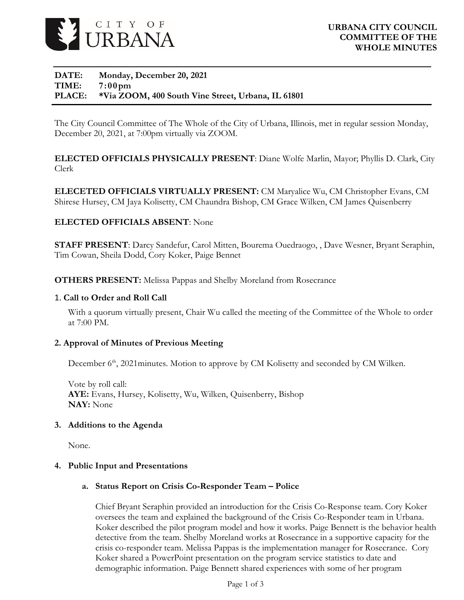

#### **DATE: Monday, December 20, 2021 TIME: 7:00pm PLACE: \*Via ZOOM, 400 South Vine Street, Urbana, IL 61801**

The City Council Committee of The Whole of the City of Urbana, Illinois, met in regular session Monday, December 20, 2021, at 7:00pm virtually via ZOOM.

**ELECTED OFFICIALS PHYSICALLY PRESENT**: Diane Wolfe Marlin, Mayor; Phyllis D. Clark, City Clerk

**ELECETED OFFICIALS VIRTUALLY PRESENT:** CM Maryalice Wu, CM Christopher Evans, CM Shirese Hursey, CM Jaya Kolisetty, CM Chaundra Bishop, CM Grace Wilken, CM James Quisenberry

### **ELECTED OFFICIALS ABSENT**: None

**STAFF PRESENT**: Darcy Sandefur, Carol Mitten, Bourema Ouedraogo, , Dave Wesner, Bryant Seraphin, Tim Cowan, Sheila Dodd, Cory Koker, Paige Bennet

**OTHERS PRESENT:** Melissa Pappas and Shelby Moreland from Rosecrance

#### 1. **Call to Order and Roll Call**

With a quorum virtually present, Chair Wu called the meeting of the Committee of the Whole to order at 7:00 PM.

#### **2. Approval of Minutes of Previous Meeting**

December  $6<sup>th</sup>$ , 2021 minutes. Motion to approve by CM Kolisetty and seconded by CM Wilken.

Vote by roll call: **AYE:** Evans, Hursey, Kolisetty, Wu, Wilken, Quisenberry, Bishop **NAY:** None

#### **3. Additions to the Agenda**

None.

#### **4. Public Input and Presentations**

#### **a. Status Report on Crisis Co-Responder Team – Police**

Chief Bryant Seraphin provided an introduction for the Crisis Co-Response team. Cory Koker oversees the team and explained the background of the Crisis Co-Responder team in Urbana. Koker described the pilot program model and how it works. Paige Bennett is the behavior health detective from the team. Shelby Moreland works at Rosecrance in a supportive capacity for the crisis co-responder team. Melissa Pappas is the implementation manager for Rosecrance. Cory Koker shared a PowerPoint presentation on the program service statistics to date and demographic information. Paige Bennett shared experiences with some of her program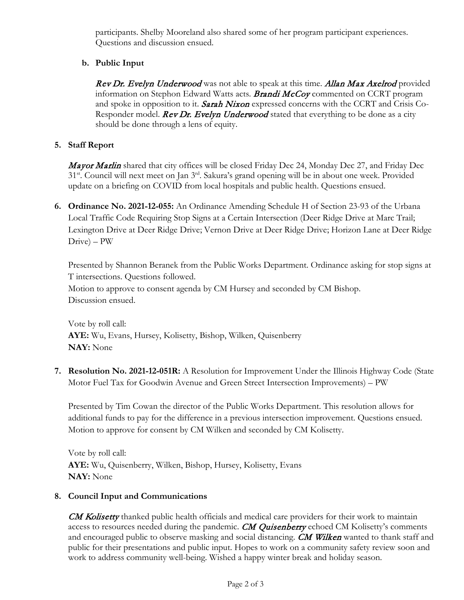participants. Shelby Mooreland also shared some of her program participant experiences. Questions and discussion ensued.

# **b. Public Input**

**Rev Dr. Evelyn Underwood** was not able to speak at this time. **Allan Max Axelrod** provided information on Stephon Edward Watts acts. **Brandi McCoy** commented on CCRT program and spoke in opposition to it. **Sarah Nixon** expressed concerns with the CCRT and Crisis Co-Responder model. **Rev Dr. Evelyn Underwood** stated that everything to be done as a city should be done through a lens of equity.

### **5. Staff Report**

Mayor Marlin shared that city offices will be closed Friday Dec 24, Monday Dec 27, and Friday Dec 31<sup>st</sup>. Council will next meet on Jan 3<sup>rd</sup>. Sakura's grand opening will be in about one week. Provided update on a briefing on COVID from local hospitals and public health. Questions ensued.

**6. Ordinance No. 2021-12-055:** An Ordinance Amending Schedule H of Section 23-93 of the Urbana Local Traffic Code Requiring Stop Signs at a Certain Intersection (Deer Ridge Drive at Marc Trail; Lexington Drive at Deer Ridge Drive; Vernon Drive at Deer Ridge Drive; Horizon Lane at Deer Ridge Drive) – PW

Presented by Shannon Beranek from the Public Works Department. Ordinance asking for stop signs at T intersections. Questions followed.

Motion to approve to consent agenda by CM Hursey and seconded by CM Bishop. Discussion ensued.

Vote by roll call: **AYE:** Wu, Evans, Hursey, Kolisetty, Bishop, Wilken, Quisenberry **NAY:** None

**7. Resolution No. 2021-12-051R:** A Resolution for Improvement Under the Illinois Highway Code (State Motor Fuel Tax for Goodwin Avenue and Green Street Intersection Improvements) – PW

Presented by Tim Cowan the director of the Public Works Department. This resolution allows for additional funds to pay for the difference in a previous intersection improvement. Questions ensued. Motion to approve for consent by CM Wilken and seconded by CM Kolisetty.

Vote by roll call: **AYE:** Wu, Quisenberry, Wilken, Bishop, Hursey, Kolisetty, Evans **NAY:** None

## **8. Council Input and Communications**

**CM Kolisetty** thanked public health officials and medical care providers for their work to maintain access to resources needed during the pandemic. **CM Quisenberry** echoed CM Kolisetty's comments and encouraged public to observe masking and social distancing. CM Wilken wanted to thank staff and public for their presentations and public input. Hopes to work on a community safety review soon and work to address community well-being. Wished a happy winter break and holiday season.